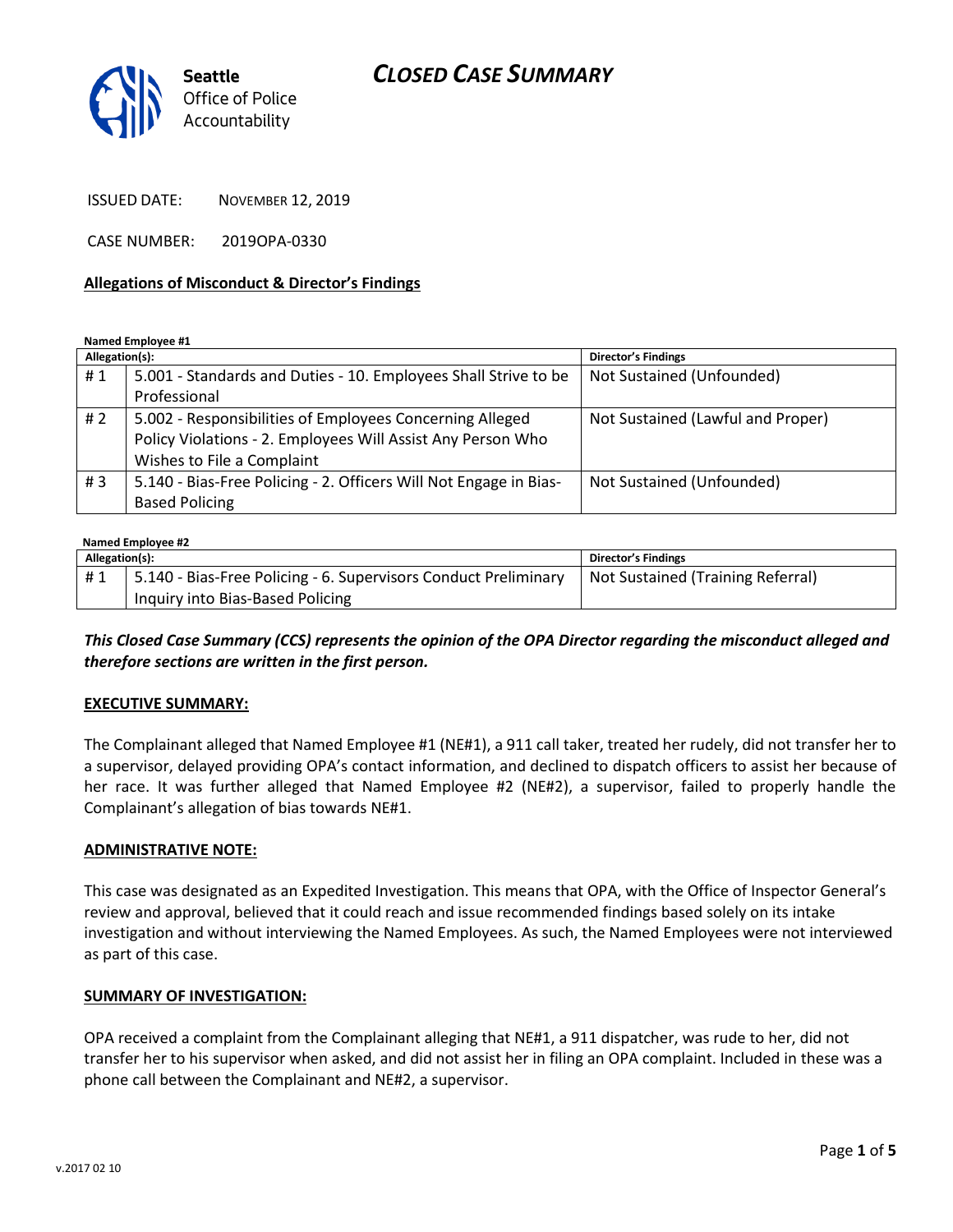# *CLOSED CASE SUMMARY*



ISSUED DATE: NOVEMBER 12, 2019

CASE NUMBER: 2019OPA-0330

#### **Allegations of Misconduct & Director's Findings**

**Named Employee #1**

| Allegation(s): |                                                                   | <b>Director's Findings</b>        |
|----------------|-------------------------------------------------------------------|-----------------------------------|
| #1             | 5.001 - Standards and Duties - 10. Employees Shall Strive to be   | Not Sustained (Unfounded)         |
|                | Professional                                                      |                                   |
| # 2            | 5.002 - Responsibilities of Employees Concerning Alleged          | Not Sustained (Lawful and Proper) |
|                | Policy Violations - 2. Employees Will Assist Any Person Who       |                                   |
|                | Wishes to File a Complaint                                        |                                   |
| # $3$          | 5.140 - Bias-Free Policing - 2. Officers Will Not Engage in Bias- | Not Sustained (Unfounded)         |
|                | <b>Based Policing</b>                                             |                                   |

## **Named Employee #2**

| $N$ and $C$ is a set $\mathcal{L}$ |                                                                 |                                   |  |
|------------------------------------|-----------------------------------------------------------------|-----------------------------------|--|
| Allegation(s):                     |                                                                 | Director's Findings               |  |
| #1                                 | 5.140 - Bias-Free Policing - 6. Supervisors Conduct Preliminary | Not Sustained (Training Referral) |  |
|                                    | Inquiry into Bias-Based Policing                                |                                   |  |

*This Closed Case Summary (CCS) represents the opinion of the OPA Director regarding the misconduct alleged and therefore sections are written in the first person.* 

#### **EXECUTIVE SUMMARY:**

The Complainant alleged that Named Employee #1 (NE#1), a 911 call taker, treated her rudely, did not transfer her to a supervisor, delayed providing OPA's contact information, and declined to dispatch officers to assist her because of her race. It was further alleged that Named Employee #2 (NE#2), a supervisor, failed to properly handle the Complainant's allegation of bias towards NE#1.

#### **ADMINISTRATIVE NOTE:**

This case was designated as an Expedited Investigation. This means that OPA, with the Office of Inspector General's review and approval, believed that it could reach and issue recommended findings based solely on its intake investigation and without interviewing the Named Employees. As such, the Named Employees were not interviewed as part of this case.

#### **SUMMARY OF INVESTIGATION:**

OPA received a complaint from the Complainant alleging that NE#1, a 911 dispatcher, was rude to her, did not transfer her to his supervisor when asked, and did not assist her in filing an OPA complaint. Included in these was a phone call between the Complainant and NE#2, a supervisor.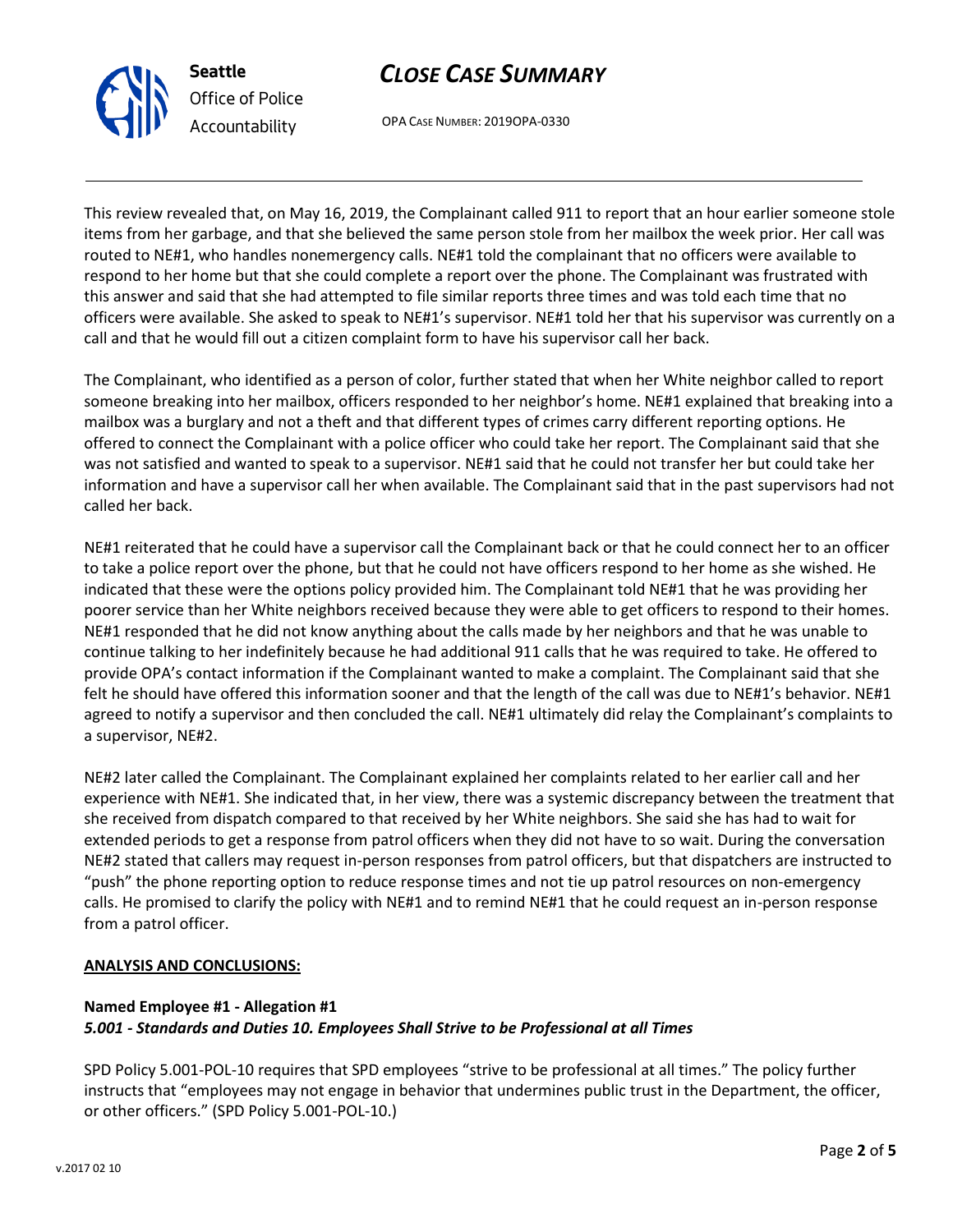



OPA CASE NUMBER: 2019OPA-0330

This review revealed that, on May 16, 2019, the Complainant called 911 to report that an hour earlier someone stole items from her garbage, and that she believed the same person stole from her mailbox the week prior. Her call was routed to NE#1, who handles nonemergency calls. NE#1 told the complainant that no officers were available to respond to her home but that she could complete a report over the phone. The Complainant was frustrated with this answer and said that she had attempted to file similar reports three times and was told each time that no officers were available. She asked to speak to NE#1's supervisor. NE#1 told her that his supervisor was currently on a call and that he would fill out a citizen complaint form to have his supervisor call her back.

The Complainant, who identified as a person of color, further stated that when her White neighbor called to report someone breaking into her mailbox, officers responded to her neighbor's home. NE#1 explained that breaking into a mailbox was a burglary and not a theft and that different types of crimes carry different reporting options. He offered to connect the Complainant with a police officer who could take her report. The Complainant said that she was not satisfied and wanted to speak to a supervisor. NE#1 said that he could not transfer her but could take her information and have a supervisor call her when available. The Complainant said that in the past supervisors had not called her back.

NE#1 reiterated that he could have a supervisor call the Complainant back or that he could connect her to an officer to take a police report over the phone, but that he could not have officers respond to her home as she wished. He indicated that these were the options policy provided him. The Complainant told NE#1 that he was providing her poorer service than her White neighbors received because they were able to get officers to respond to their homes. NE#1 responded that he did not know anything about the calls made by her neighbors and that he was unable to continue talking to her indefinitely because he had additional 911 calls that he was required to take. He offered to provide OPA's contact information if the Complainant wanted to make a complaint. The Complainant said that she felt he should have offered this information sooner and that the length of the call was due to NE#1's behavior. NE#1 agreed to notify a supervisor and then concluded the call. NE#1 ultimately did relay the Complainant's complaints to a supervisor, NE#2.

NE#2 later called the Complainant. The Complainant explained her complaints related to her earlier call and her experience with NE#1. She indicated that, in her view, there was a systemic discrepancy between the treatment that she received from dispatch compared to that received by her White neighbors. She said she has had to wait for extended periods to get a response from patrol officers when they did not have to so wait. During the conversation NE#2 stated that callers may request in-person responses from patrol officers, but that dispatchers are instructed to "push" the phone reporting option to reduce response times and not tie up patrol resources on non-emergency calls. He promised to clarify the policy with NE#1 and to remind NE#1 that he could request an in-person response from a patrol officer.

#### **ANALYSIS AND CONCLUSIONS:**

### **Named Employee #1 - Allegation #1** *5.001 - Standards and Duties 10. Employees Shall Strive to be Professional at all Times*

SPD Policy 5.001-POL-10 requires that SPD employees "strive to be professional at all times." The policy further instructs that "employees may not engage in behavior that undermines public trust in the Department, the officer, or other officers." (SPD Policy 5.001-POL-10.)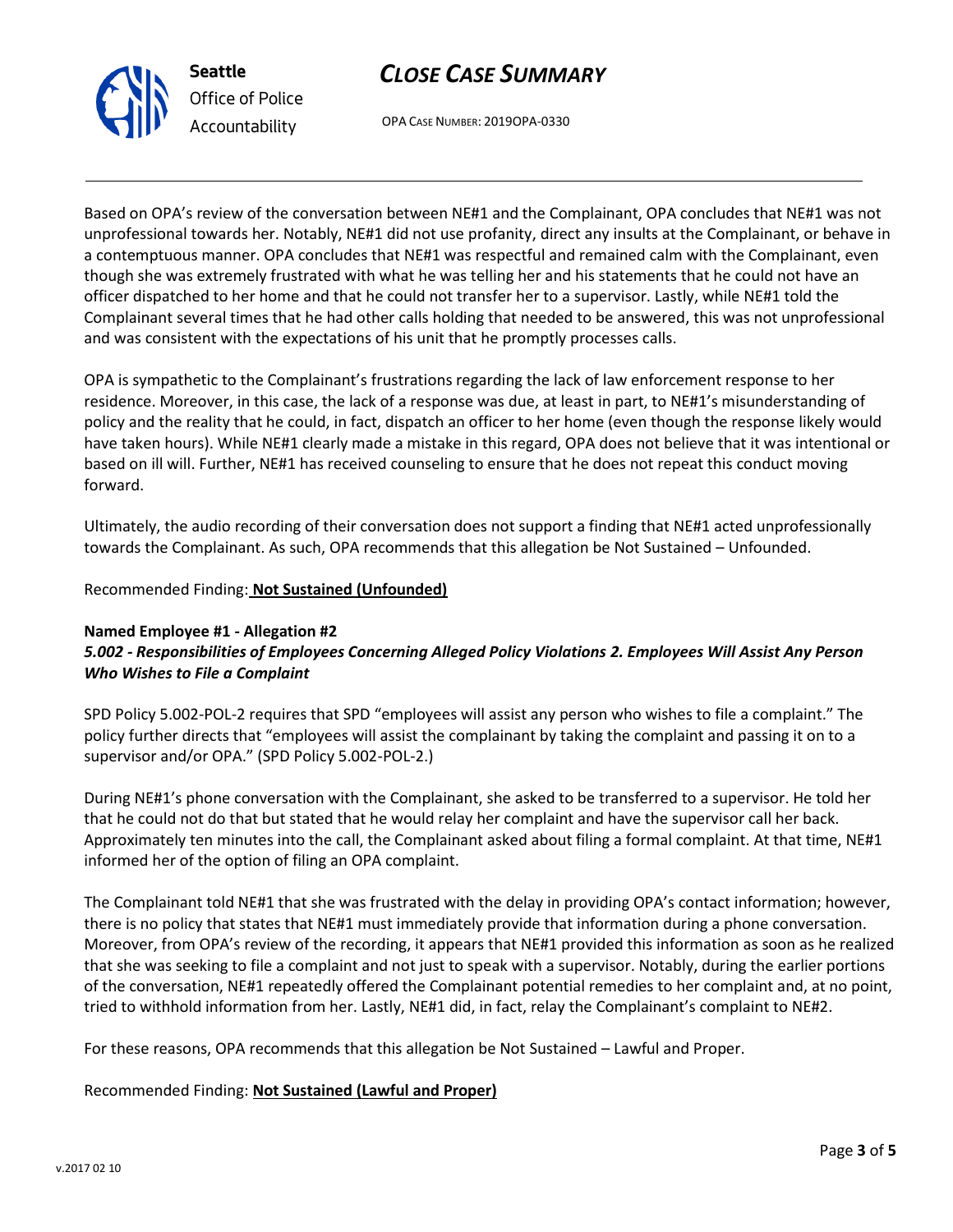



OPA CASE NUMBER: 2019OPA-0330

Based on OPA's review of the conversation between NE#1 and the Complainant, OPA concludes that NE#1 was not unprofessional towards her. Notably, NE#1 did not use profanity, direct any insults at the Complainant, or behave in a contemptuous manner. OPA concludes that NE#1 was respectful and remained calm with the Complainant, even though she was extremely frustrated with what he was telling her and his statements that he could not have an officer dispatched to her home and that he could not transfer her to a supervisor. Lastly, while NE#1 told the Complainant several times that he had other calls holding that needed to be answered, this was not unprofessional and was consistent with the expectations of his unit that he promptly processes calls.

OPA is sympathetic to the Complainant's frustrations regarding the lack of law enforcement response to her residence. Moreover, in this case, the lack of a response was due, at least in part, to NE#1's misunderstanding of policy and the reality that he could, in fact, dispatch an officer to her home (even though the response likely would have taken hours). While NE#1 clearly made a mistake in this regard, OPA does not believe that it was intentional or based on ill will. Further, NE#1 has received counseling to ensure that he does not repeat this conduct moving forward.

Ultimately, the audio recording of their conversation does not support a finding that NE#1 acted unprofessionally towards the Complainant. As such, OPA recommends that this allegation be Not Sustained – Unfounded.

Recommended Finding: **Not Sustained (Unfounded)**

### **Named Employee #1 - Allegation #2** *5.002 - Responsibilities of Employees Concerning Alleged Policy Violations 2. Employees Will Assist Any Person Who Wishes to File a Complaint*

SPD Policy 5.002-POL-2 requires that SPD "employees will assist any person who wishes to file a complaint." The policy further directs that "employees will assist the complainant by taking the complaint and passing it on to a supervisor and/or OPA." (SPD Policy 5.002-POL-2.)

During NE#1's phone conversation with the Complainant, she asked to be transferred to a supervisor. He told her that he could not do that but stated that he would relay her complaint and have the supervisor call her back. Approximately ten minutes into the call, the Complainant asked about filing a formal complaint. At that time, NE#1 informed her of the option of filing an OPA complaint.

The Complainant told NE#1 that she was frustrated with the delay in providing OPA's contact information; however, there is no policy that states that NE#1 must immediately provide that information during a phone conversation. Moreover, from OPA's review of the recording, it appears that NE#1 provided this information as soon as he realized that she was seeking to file a complaint and not just to speak with a supervisor. Notably, during the earlier portions of the conversation, NE#1 repeatedly offered the Complainant potential remedies to her complaint and, at no point, tried to withhold information from her. Lastly, NE#1 did, in fact, relay the Complainant's complaint to NE#2.

For these reasons, OPA recommends that this allegation be Not Sustained – Lawful and Proper.

### Recommended Finding: **Not Sustained (Lawful and Proper)**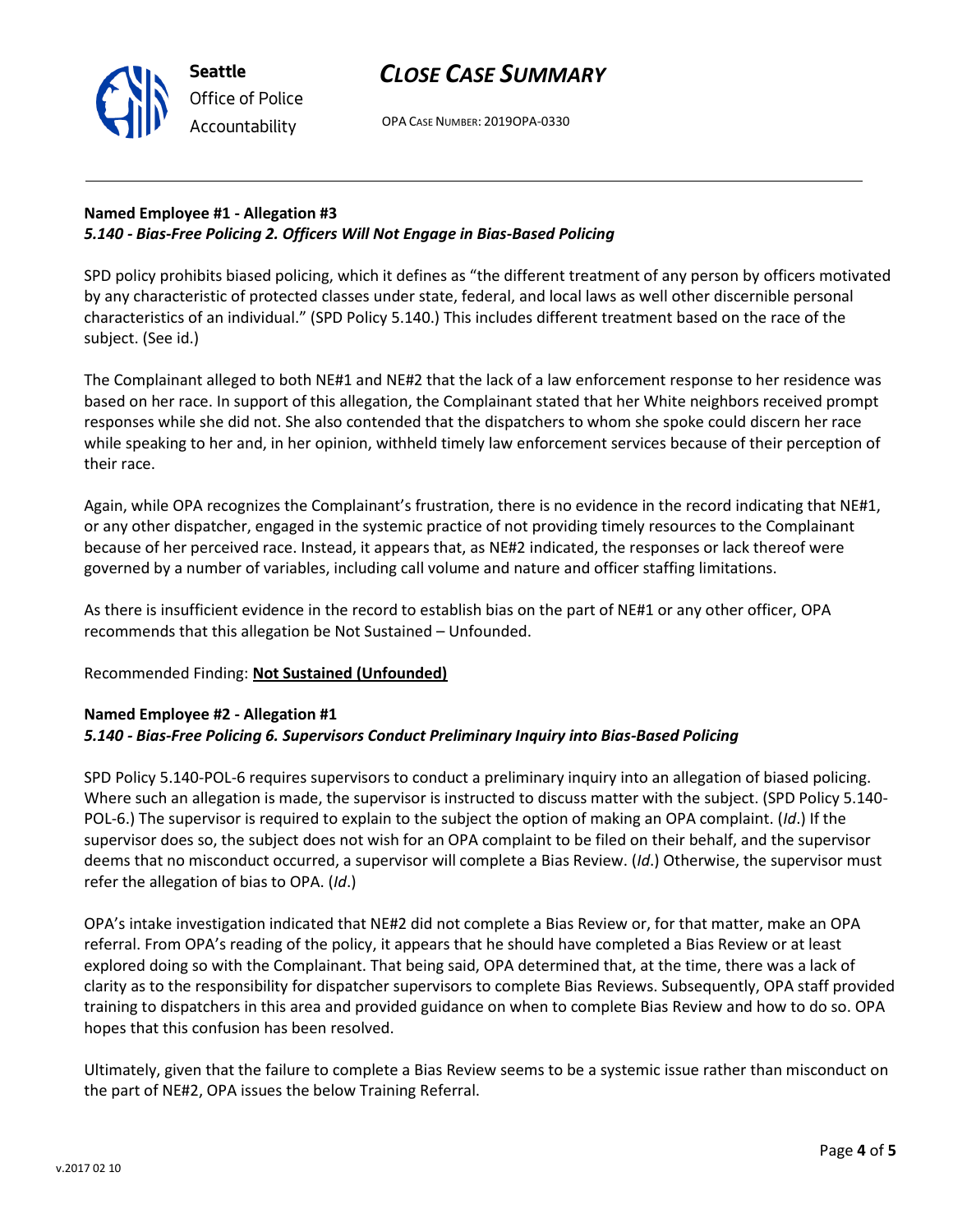v.2017 02 10

**Seattle** *Office of Police Accountability*

# *CLOSE CASE SUMMARY*

OPA CASE NUMBER: 2019OPA-0330

## **Named Employee #1 - Allegation #3** *5.140 - Bias-Free Policing 2. Officers Will Not Engage in Bias-Based Policing*

SPD policy prohibits biased policing, which it defines as "the different treatment of any person by officers motivated by any characteristic of protected classes under state, federal, and local laws as well other discernible personal characteristics of an individual." (SPD Policy 5.140.) This includes different treatment based on the race of the subject. (See id.)

The Complainant alleged to both NE#1 and NE#2 that the lack of a law enforcement response to her residence was based on her race. In support of this allegation, the Complainant stated that her White neighbors received prompt responses while she did not. She also contended that the dispatchers to whom she spoke could discern her race while speaking to her and, in her opinion, withheld timely law enforcement services because of their perception of their race.

Again, while OPA recognizes the Complainant's frustration, there is no evidence in the record indicating that NE#1, or any other dispatcher, engaged in the systemic practice of not providing timely resources to the Complainant because of her perceived race. Instead, it appears that, as NE#2 indicated, the responses or lack thereof were governed by a number of variables, including call volume and nature and officer staffing limitations.

As there is insufficient evidence in the record to establish bias on the part of NE#1 or any other officer, OPA recommends that this allegation be Not Sustained – Unfounded.

## Recommended Finding: **Not Sustained (Unfounded)**

### **Named Employee #2 - Allegation #1** *5.140 - Bias-Free Policing 6. Supervisors Conduct Preliminary Inquiry into Bias-Based Policing*

SPD Policy 5.140-POL-6 requires supervisors to conduct a preliminary inquiry into an allegation of biased policing. Where such an allegation is made, the supervisor is instructed to discuss matter with the subject. (SPD Policy 5.140- POL-6.) The supervisor is required to explain to the subject the option of making an OPA complaint. (*Id*.) If the supervisor does so, the subject does not wish for an OPA complaint to be filed on their behalf, and the supervisor deems that no misconduct occurred, a supervisor will complete a Bias Review. (*Id*.) Otherwise, the supervisor must refer the allegation of bias to OPA. (*Id*.)

OPA's intake investigation indicated that NE#2 did not complete a Bias Review or, for that matter, make an OPA referral. From OPA's reading of the policy, it appears that he should have completed a Bias Review or at least explored doing so with the Complainant. That being said, OPA determined that, at the time, there was a lack of clarity as to the responsibility for dispatcher supervisors to complete Bias Reviews. Subsequently, OPA staff provided training to dispatchers in this area and provided guidance on when to complete Bias Review and how to do so. OPA hopes that this confusion has been resolved.

Ultimately, given that the failure to complete a Bias Review seems to be a systemic issue rather than misconduct on the part of NE#2, OPA issues the below Training Referral.